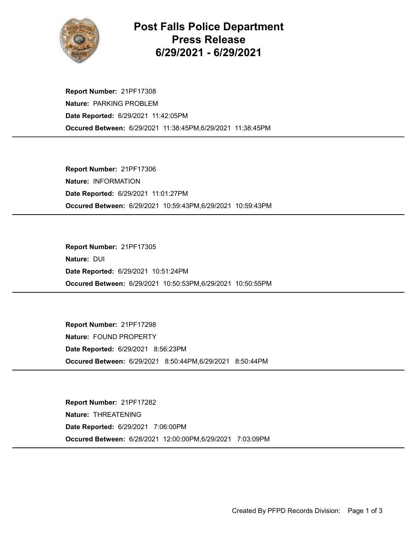

## Post Falls Police Department Press Release 6/29/2021 - 6/29/2021

Occured Between: 6/29/2021 11:38:45PM,6/29/2021 11:38:45PM Report Number: 21PF17308 Nature: PARKING PROBLEM Date Reported: 6/29/2021 11:42:05PM

Occured Between: 6/29/2021 10:59:43PM,6/29/2021 10:59:43PM Report Number: 21PF17306 Nature: INFORMATION Date Reported: 6/29/2021 11:01:27PM

Occured Between: 6/29/2021 10:50:53PM,6/29/2021 10:50:55PM Report Number: 21PF17305 Nature: DUI Date Reported: 6/29/2021 10:51:24PM

Occured Between: 6/29/2021 8:50:44PM,6/29/2021 8:50:44PM Report Number: 21PF17298 Nature: FOUND PROPERTY Date Reported: 6/29/2021 8:56:23PM

Occured Between: 6/28/2021 12:00:00PM,6/29/2021 7:03:09PM Report Number: 21PF17282 Nature: THREATENING Date Reported: 6/29/2021 7:06:00PM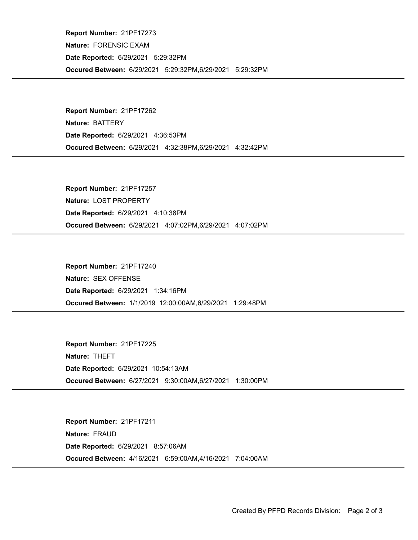Occured Between: 6/29/2021 5:29:32PM,6/29/2021 5:29:32PM Report Number: 21PF17273 Nature: FORENSIC EXAM Date Reported: 6/29/2021 5:29:32PM

Occured Between: 6/29/2021 4:32:38PM,6/29/2021 4:32:42PM Report Number: 21PF17262 Nature: BATTERY Date Reported: 6/29/2021 4:36:53PM

Occured Between: 6/29/2021 4:07:02PM,6/29/2021 4:07:02PM Report Number: 21PF17257 Nature: LOST PROPERTY Date Reported: 6/29/2021 4:10:38PM

Occured Between: 1/1/2019 12:00:00AM,6/29/2021 1:29:48PM Report Number: 21PF17240 Nature: SEX OFFENSE Date Reported: 6/29/2021 1:34:16PM

Occured Between: 6/27/2021 9:30:00AM,6/27/2021 1:30:00PM Report Number: 21PF17225 Nature: THEFT Date Reported: 6/29/2021 10:54:13AM

Occured Between: 4/16/2021 6:59:00AM,4/16/2021 7:04:00AM Report Number: 21PF17211 Nature: FRAUD Date Reported: 6/29/2021 8:57:06AM